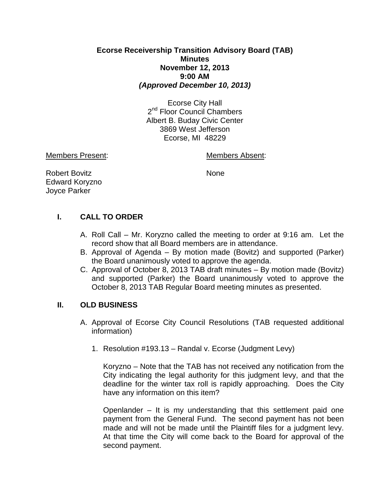## **Ecorse Receivership Transition Advisory Board (TAB) Minutes November 12, 2013 9:00 AM** *(Approved December 10, 2013)*

Ecorse City Hall 2<sup>nd</sup> Floor Council Chambers Albert B. Buday Civic Center 3869 West Jefferson Ecorse, MI 48229

Members Present: Members Absent:

Robert Bovitz None Edward Koryzno Joyce Parker

# **I. CALL TO ORDER**

- A. Roll Call Mr. Koryzno called the meeting to order at 9:16 am. Let the record show that all Board members are in attendance.
- B. Approval of Agenda By motion made (Bovitz) and supported (Parker) the Board unanimously voted to approve the agenda.
- C. Approval of October 8, 2013 TAB draft minutes By motion made (Bovitz) and supported (Parker) the Board unanimously voted to approve the October 8, 2013 TAB Regular Board meeting minutes as presented.

## **II. OLD BUSINESS**

- A. Approval of Ecorse City Council Resolutions (TAB requested additional information)
	- 1. Resolution #193.13 Randal v. Ecorse (Judgment Levy)

Koryzno – Note that the TAB has not received any notification from the City indicating the legal authority for this judgment levy, and that the deadline for the winter tax roll is rapidly approaching. Does the City have any information on this item?

Openlander – It is my understanding that this settlement paid one payment from the General Fund. The second payment has not been made and will not be made until the Plaintiff files for a judgment levy. At that time the City will come back to the Board for approval of the second payment.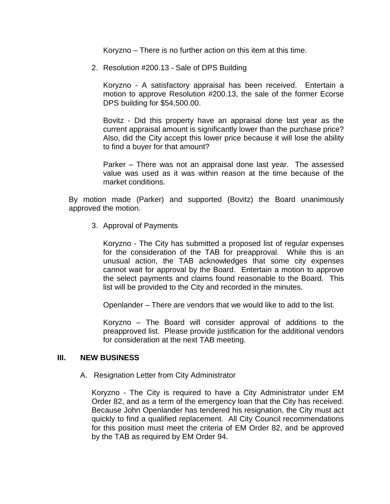Koryzno – There is no further action on this item at this time.

2. Resolution #200.13 - Sale of DPS Building

Koryzno - A satisfactory appraisal has been received. Entertain a motion to approve Resolution #200.13, the sale of the former Ecorse DPS building for \$54,500.00.

Bovitz - Did this property have an appraisal done last year as the current appraisal amount is significantly lower than the purchase price? Also, did the City accept this lower price because it will lose the ability to find a buyer for that amount?

Parker – There was not an appraisal done last year. The assessed value was used as it was within reason at the time because of the market conditions.

By motion made (Parker) and supported (Bovitz) the Board unanimously approved the motion.

3. Approval of Payments

Koryzno - The City has submitted a proposed list of regular expenses for the consideration of the TAB for preapproval. While this is an unusual action, the TAB acknowledges that some city expenses cannot wait for approval by the Board. Entertain a motion to approve the select payments and claims found reasonable to the Board. This list will be provided to the City and recorded in the minutes.

Openlander – There are vendors that we would like to add to the list.

Koryzno – The Board will consider approval of additions to the preapproved list. Please provide justification for the additional vendors for consideration at the next TAB meeting.

#### **III. NEW BUSINESS**

A. Resignation Letter from City Administrator

Koryzno - The City is required to have a City Administrator under EM Order 82, and as a term of the emergency loan that the City has received. Because John Openlander has tendered his resignation, the City must act quickly to find a qualified replacement. All City Council recommendations for this position must meet the criteria of EM Order 82, and be approved by the TAB as required by EM Order 94.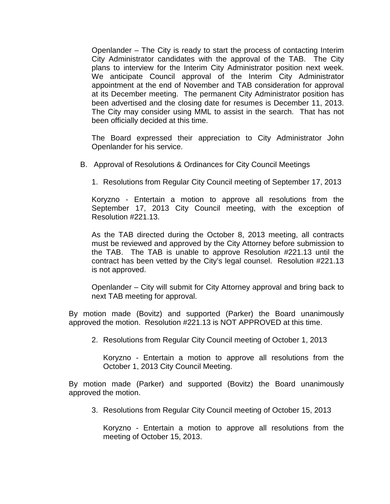Openlander – The City is ready to start the process of contacting Interim City Administrator candidates with the approval of the TAB. The City plans to interview for the Interim City Administrator position next week. We anticipate Council approval of the Interim City Administrator appointment at the end of November and TAB consideration for approval at its December meeting. The permanent City Administrator position has been advertised and the closing date for resumes is December 11, 2013. The City may consider using MML to assist in the search. That has not been officially decided at this time.

The Board expressed their appreciation to City Administrator John Openlander for his service.

- B. Approval of Resolutions & Ordinances for City Council Meetings
	- 1. Resolutions from Regular City Council meeting of September 17, 2013

Koryzno - Entertain a motion to approve all resolutions from the September 17, 2013 City Council meeting, with the exception of Resolution #221.13.

As the TAB directed during the October 8, 2013 meeting, all contracts must be reviewed and approved by the City Attorney before submission to the TAB. The TAB is unable to approve Resolution #221.13 until the contract has been vetted by the City's legal counsel. Resolution #221.13 is not approved.

Openlander – City will submit for City Attorney approval and bring back to next TAB meeting for approval.

By motion made (Bovitz) and supported (Parker) the Board unanimously approved the motion. Resolution #221.13 is NOT APPROVED at this time.

2. Resolutions from Regular City Council meeting of October 1, 2013

Koryzno - Entertain a motion to approve all resolutions from the October 1, 2013 City Council Meeting.

By motion made (Parker) and supported (Bovitz) the Board unanimously approved the motion.

3. Resolutions from Regular City Council meeting of October 15, 2013

Koryzno - Entertain a motion to approve all resolutions from the meeting of October 15, 2013.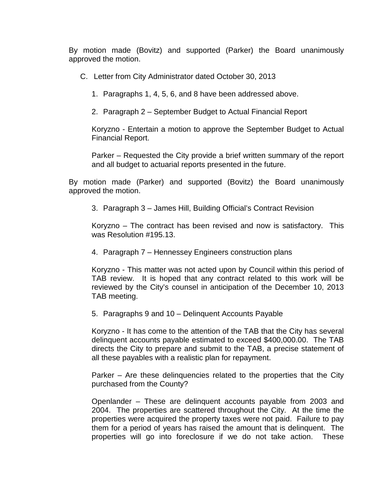By motion made (Bovitz) and supported (Parker) the Board unanimously approved the motion.

C. Letter from City Administrator dated October 30, 2013

1. Paragraphs 1, 4, 5, 6, and 8 have been addressed above.

2. Paragraph 2 – September Budget to Actual Financial Report

Koryzno - Entertain a motion to approve the September Budget to Actual Financial Report.

Parker – Requested the City provide a brief written summary of the report and all budget to actuarial reports presented in the future.

By motion made (Parker) and supported (Bovitz) the Board unanimously approved the motion.

3. Paragraph 3 – James Hill, Building Official's Contract Revision

Koryzno – The contract has been revised and now is satisfactory. This was Resolution #195.13.

4. Paragraph 7 – Hennessey Engineers construction plans

Koryzno - This matter was not acted upon by Council within this period of TAB review. It is hoped that any contract related to this work will be reviewed by the City's counsel in anticipation of the December 10, 2013 TAB meeting.

5. Paragraphs 9 and 10 – Delinquent Accounts Payable

Koryzno - It has come to the attention of the TAB that the City has several delinquent accounts payable estimated to exceed \$400,000.00. The TAB directs the City to prepare and submit to the TAB, a precise statement of all these payables with a realistic plan for repayment.

Parker – Are these delinquencies related to the properties that the City purchased from the County?

Openlander – These are delinquent accounts payable from 2003 and 2004. The properties are scattered throughout the City. At the time the properties were acquired the property taxes were not paid. Failure to pay them for a period of years has raised the amount that is delinquent. The properties will go into foreclosure if we do not take action. These